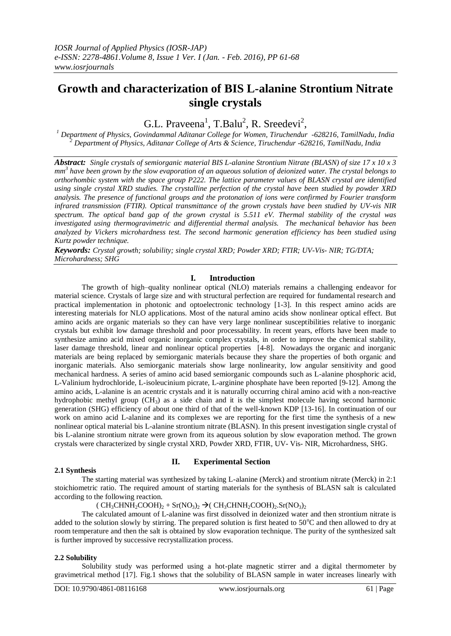# **Growth and characterization of BIS L-alanine Strontium Nitrate single crystals**

G.L. Praveena<sup>1</sup>, T.Balu<sup>2</sup>, R. Sreedevi<sup>2</sup>,

*<sup>1</sup> Department of Physics, Govindammal Aditanar College for Women, Tiruchendur -628216, TamilNadu, India <sup>2</sup> Department of Physics, Aditanar College of Arts & Science, Tiruchendur -628216, TamilNadu, India*

*Abstract: Single crystals of semiorganic material BIS L-alanine Strontium Nitrate (BLASN) of size 17 x 10 x 3 mm 3 have been grown by the slow evaporation of an aqueous solution of deionized water. The crystal belongs to orthorhombic system with the space group P222. The lattice parameter values of BLASN crystal are identified using single crystal XRD studies. The crystalline perfection of the crystal have been studied by powder XRD analysis. The presence of functional groups and the protonation of ions were confirmed by Fourier transform infrared transmission (FTIR). Optical transmittance of the grown crystals have been studied by UV-vis NIR spectrum. The optical band gap of the grown crystal is 5.511 eV. Thermal stability of the crystal was investigated using thermogravimetric and differential thermal analysis. The mechanical behavior has been analyzed by Vickers microhardness test. The second harmonic generation efficiency has been studied using Kurtz powder technique.*

*Keywords: Crystal growth; solubility; single crystal XRD; Powder XRD; FTIR; UV-Vis- NIR; TG/DTA; Microhardness; SHG*

# **I. Introduction**

The growth of high–quality nonlinear optical (NLO) materials remains a challenging endeavor for material science. Crystals of large size and with structural perfection are required for fundamental research and practical implementation in photonic and optoelectronic technology [1-3]. In this respect amino acids are interesting materials for NLO applications. Most of the natural amino acids show nonlinear optical effect. But amino acids are organic materials so they can have very large nonlinear susceptibilities relative to inorganic crystals but exhibit low damage threshold and poor processability. In recent years, efforts have been made to synthesize amino acid mixed organic inorganic complex crystals, in order to improve the chemical stability, laser damage threshold, linear and nonlinear optical properties [4-8]. Nowadays the organic and inorganic materials are being replaced by semiorganic materials because they share the properties of both organic and inorganic materials. Also semiorganic materials show large nonlinearity, low angular sensitivity and good mechanical hardness. A series of amino acid based semiorganic compounds such as L-alanine phosphoric acid, L-Valinium hydrochloride, L-isoleucinium picrate, L-arginine phosphate have been reported [9-12]. Among the amino acids, L-alanine is an acentric crystals and it is naturally occurring chiral amino acid with a non-reactive hydrophobic methyl group (CH3) as a side chain and it is the simplest molecule having second harmonic generation (SHG) efficiency of about one third of that of the well-known KDP [13-16]. In continuation of our work on amino acid L-alanine and its complexes we are reporting for the first time the synthesis of a new nonlinear optical material bis L-alanine strontium nitrate (BLASN). In this present investigation single crystal of bis L-alanine strontium nitrate were grown from its aqueous solution by slow evaporation method. The grown crystals were characterized by single crystal XRD, Powder XRD, FTIR, UV- Vis- NIR, Microhardness, SHG.

## **2.1 Synthesis**

# **II. Experimental Section**

The starting material was synthesized by taking L-alanine (Merck) and strontium nitrate (Merck) in 2:1 stoichiometric ratio. The required amount of starting materials for the synthesis of BLASN salt is calculated according to the following reaction.

 $(CH_3CHNH_2COOH)_2 + Sr(NO_3)_2 \rightarrow (CH_3CHNH_2COOH)_2.Sr(NO_3)_2$ 

The calculated amount of L-alanine was first dissolved in deionized water and then strontium nitrate is added to the solution slowly by stirring. The prepared solution is first heated to  $50^{\circ}$ C and then allowed to dry at room temperature and then the salt is obtained by slow evaporation technique. The purity of the synthesized salt is further improved by successive recrystallization process.

# **2.2 Solubility**

Solubility study was performed using a hot-plate magnetic stirrer and a digital thermometer by gravimetrical method [17]. Fig.1 shows that the solubility of BLASN sample in water increases linearly with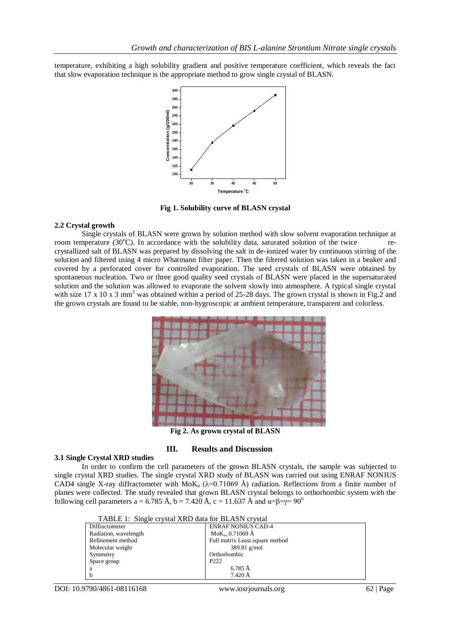temperature, exhibiting a high solubility gradient and positive temperature coefficient, which reveals the fact that slow evaporation technique is the appropriate method to grow single crystal of BLASN.



**Fig 1. Solubility curve of BLASN crystal**

#### **2.2 Crystal growth**

Single crystals of BLASN were grown by solution method with slow solvent evaporation technique at room temperature  $(30^{\circ}\text{C})$ . In accordance with the solubility data, saturated solution of the twice recrystallized salt of BLASN was prepared by dissolving the salt in de-ionized water by continuous stirring of the solution and filtered using 4 micro Whatmann filter paper. Then the filtered solution was taken in a beaker and covered by a perforated cover for controlled evaporation. The seed crystals of BLASN were obtained by spontaneous nucleation. Two or three good quality seed crystals of BLASN were placed in the supersaturated solution and the solution was allowed to evaporate the solvent slowly into atmosphere. A typical single crystal with size 17 x 10 x 3 mm<sup>3</sup> was obtained within a period of 25-28 days. The grown crystal is shown in Fig.2 and the grown crystals are found to be stable, non-hygroscopic at ambient temperature, transparent and colorless.



**Fig 2. As grown crystal of BLASN**

### **III. Results and Discussion**

### **3.1 Single Crystal XRD studies**

In order to confirm the cell parameters of the grown BLASN crystals, the sample was subjected to single crystal XRD studies. The single crystal XRD study of BLASN was carried out using ENRAF NONIUS CAD4 single X-ray diffractometer with MoK<sub>a</sub> ( $\lambda$ =0.71069 Å) radiation. Reflections from a finite number of planes were collected. The study revealed that grown BLASN crystal belongs to orthorhombic system with the following cell parameters a = 6.785 Å, b = 7.420 Å, c = 11.637 Å and  $\alpha = \beta = \gamma = 90^{\circ}$ 

| TABLE 1: Single crystal XRD data for BLASN crystal |                                 |  |
|----------------------------------------------------|---------------------------------|--|
| Diffractometer                                     | <b>ENRAF NONIUS CAD-4</b>       |  |
| Radiation, wavelength                              | $MoK_{a}$ , 0.71069 Å           |  |
| Refinement method                                  | Full matrix Least square method |  |
| Molecular weight                                   | 389.81 $g/mol$                  |  |
| Symmetry                                           | Orthorhombic                    |  |
| Space group                                        | P <sub>222</sub>                |  |
| a                                                  | 6.785 Å                         |  |
| h                                                  | $7.420 \text{ Å}$               |  |

DOI: 10.9790/4861-08116168 www.iosrjournals.org 62 | Page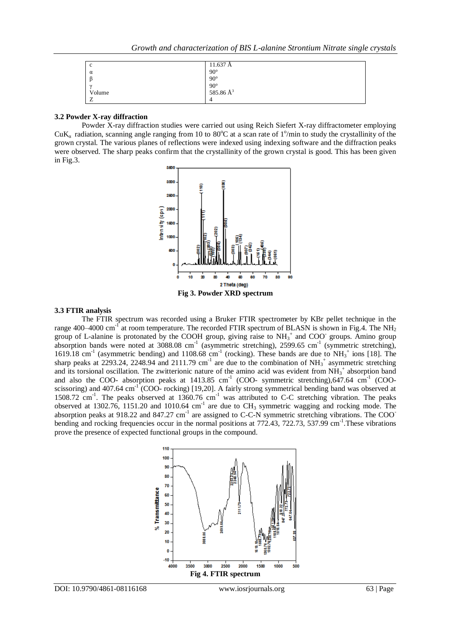| c        | 11.637 Å                              |
|----------|---------------------------------------|
| $\alpha$ | $90^{\circ}$                          |
|          | $90^{\circ}$                          |
| $\sim$   | $90^{\circ}$<br>585.86 Å <sup>3</sup> |
| Volume   |                                       |
| -        | 4                                     |

#### **3.2 Powder X-ray diffraction**

Powder X-ray diffraction studies were carried out using Reich Siefert X-ray diffractometer employing CuK<sub>a</sub> radiation, scanning angle ranging from 10 to 80°C at a scan rate of 1°/min to study the crystallinity of the grown crystal. The various planes of reflections were indexed using indexing software and the diffraction peaks were observed. The sharp peaks confirm that the crystallinity of the grown crystal is good. This has been given in Fig.3.



## **Fig 3. Powder XRD spectrum**

# **3.3 FTIR analysis**

The FTIR spectrum was recorded using a Bruker FTIR spectrometer by KBr pellet technique in the range 400–4000 cm<sup>-1</sup> at room temperature. The recorded FTIR spectrum of BLASN is shown in Fig.4. The NH<sub>2</sub> group of L-alanine is protonated by the COOH group, giving raise to  $NH_3^+$  and COO groups. Amino group absorption bands were noted at 3088.08 cm<sup>-1</sup> (asymmetric stretching), 2599.65 cm<sup>-1</sup> (symmetric stretching), 1619.18 cm<sup>-1</sup> (asymmetric bending) and 1108.68 cm<sup>-1</sup> (rocking). These bands are due to  $NH_3^+$  ions [18]. The sharp peaks at 2293.24, 2248.94 and 2111.79 cm<sup>-1</sup> are due to the combination of NH<sub>3</sub><sup>+</sup> asymmetric stretching and its torsional oscillation. The zwitterionic nature of the amino acid was evident from  $NH_3^+$  absorption band and also the COO- absorption peaks at  $1413.85$  cm<sup>-1</sup> (COO- symmetric stretching),647.64 cm<sup>-1</sup> (COOscissoring) and 407.64 cm<sup>-1</sup> (COO- rocking) [19,20]. A fairly strong symmetrical bending band was observed at 1508.72 cm<sup>-1</sup>. The peaks observed at 1360.76 cm<sup>-1</sup> was attributed to C-C stretching vibration. The peaks observed at 1302.76, 1151.20 and 1010.64 cm<sup>-1</sup> are due to  $CH_3$  symmetric wagging and rocking mode. The absorption peaks at 918.22 and 847.27 cm<sup>-1</sup> are assigned to C-C-N symmetric stretching vibrations. The COO<sup>-</sup> bending and rocking frequencies occur in the normal positions at 772.43, 722.73, 537.99 cm<sup>-1</sup>. These vibrations prove the presence of expected functional groups in the compound.

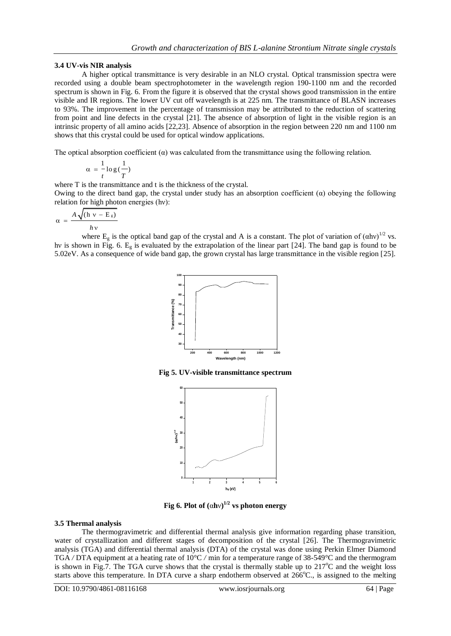## **3.4 UV-vis NIR analysis**

A higher optical transmittance is very desirable in an NLO crystal. Optical transmission spectra were recorded using a double beam spectrophotometer in the wavelength region 190-1100 nm and the recorded spectrum is shown in Fig. 6. From the figure it is observed that the crystal shows good transmission in the entire visible and IR regions. The lower UV cut off wavelength is at 225 nm. The transmittance of BLASN increases to 93%. The improvement in the percentage of transmission may be attributed to the reduction of scattering from point and line defects in the crystal [21]. The absence of absorption of light in the visible region is an intrinsic property of all amino acids [22,23]. Absence of absorption in the region between 220 nm and 1100 nm shows that this crystal could be used for optical window applications.

The optical absorption coefficient  $(\alpha)$  was calculated from the transmittance using the following relation.

$$
\alpha = \frac{1}{t} \log{(\frac{1}{T})}
$$

where T is the transmittance and t is the thickness of the crystal.

Owing to the direct band gap, the crystal under study has an absorption coefficient  $(\alpha)$  obeying the following relation for high photon energies (hν):

$$
\alpha = \frac{A\sqrt{(\text{h} \text{ v} - \text{E}_{\text{g}})}}{h\text{ v}}
$$

where  $E_g$  is the optical band gap of the crystal and A is a constant. The plot of variation of  $(ahv)^{1/2}$  vs. hv is shown in Fig. 6.  $E_g$  is evaluated by the extrapolation of the linear part [24]. The band gap is found to be 5.02eV. As a consequence of wide band gap, the grown crystal has large transmittance in the visible region [25].



**Fig 5. UV-visible transmittance spectrum**



**Fig** 6. Plot of  $(\alpha h v)^{1/2}$  vs photon energy

# **3.5 Thermal analysis**

The thermogravimetric and differential thermal analysis give information regarding phase transition, water of crystallization and different stages of decomposition of the crystal [26]. The Thermogravimetric analysis (TGA) and differential thermal analysis (DTA) of the crystal was done using Perkin Elmer Diamond TGA */* DTA equipment at a heating rate of 10°C */* min for a temperature range of 38-549°C and the thermogram is shown in Fig.7. The TGA curve shows that the crystal is thermally stable up to  $217^{\circ}$ C and the weight loss starts above this temperature. In DTA curve a sharp endotherm observed at  $266^{\circ}C$ ., is assigned to the melting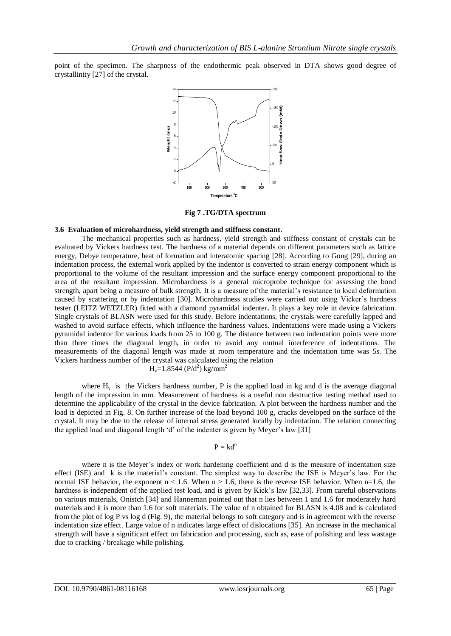point of the specimen. The sharpness of the endothermic peak observed in DTA shows good degree of crystallinity [27] of the crystal.



**Fig 7 .TG/DTA spectrum**

## **3.6 Evaluation of microhardness, yield strength and stiffness constant**.

The mechanical properties such as hardness, yield strength and stiffness constant of crystals can be evaluated by Vickers hardness test. The hardness of a material depends on different parameters such as lattice energy, Debye temperature, heat of formation and interatomic spacing [28]. According to Gong [29], during an indentation process, the external work applied by the indentor is converted to strain energy component which is proportional to the volume of the resultant impression and the surface energy component proportional to the area of the resultant impression. Microhardness is a general microprobe technique for assessing the bond strength, apart being a measure of bulk strength. It is a measure of the material"s resistance to local deformation caused by scattering or by indentation [30]. Microhardness studies were carried out using Vicker"s hardness tester (LEITZ WETZLER) fitted with a diamond pyramidal indenter**.** It plays a key role in device fabrication. Single crystals of BLASN were used for this study. Before indentations, the crystals were carefully lapped and washed to avoid surface effects, which influence the hardness values. Indentations were made using a Vickers pyramidal indentor for various loads from 25 to 100 g. The distance between two indentation points were more than three times the diagonal length, in order to avoid any mutual interference of indentations. The measurements of the diagonal length was made at room temperature and the indentation time was 5s. The Vickers hardness number of the crystal was calculated using the relation

 $H_v=1.8544$  (P/d<sup>2</sup>) kg/mm<sup>2</sup>

where  $H<sub>v</sub>$  is the Vickers hardness number, P is the applied load in kg and d is the average diagonal length of the impression in mm. Measurement of hardness is a useful non destructive testing method used to determine the applicability of the crystal in the device fabrication. A plot between the hardness number and the load is depicted in Fig. 8. On further increase of the load beyond 100 g, cracks developed on the surface of the crystal. It may be due to the release of internal stress generated locally by indentation. The relation connecting the applied load and diagonal length 'd' of the indenter is given by Meyer's law [31]

#### $P = kd^n$

where n is the Meyer's index or work hardening coefficient and d is the measure of indentation size effect (ISE) and k is the material"s constant. The simplest way to describe the ISE is Meyer"s law. For the normal ISE behavior, the exponent  $n < 1.6$ . When  $n > 1.6$ , there is the reverse ISE behavior. When  $n=1.6$ , the hardness is independent of the applied test load, and is given by Kick's law [32,33]. From careful observations on various materials, Onistch [34] and Hanneman pointed out that n lies between 1 and 1.6 for moderately hard materials and it is more than 1.6 for soft materials. The value of n obtained for BLASN is 4.08 and is calculated from the plot of log P vs log d (Fig. 9), the material belongs to soft category and is in agreement with the reverse indentation size effect. Large value of n indicates large effect of dislocations [35]. An increase in the mechanical strength will have a significant effect on fabrication and processing, such as, ease of polishing and less wastage due to cracking / breakage while polishing.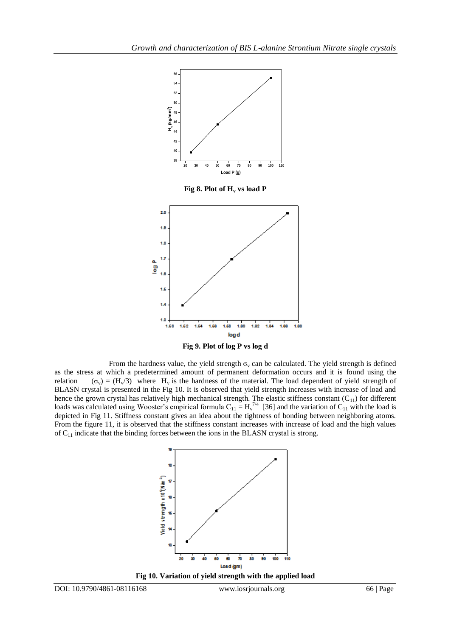



From the hardness value, the yield strength  $\sigma_y$  can be calculated. The yield strength is defined as the stress at which a predetermined amount of permanent deformation occurs and it is found using the relation  $(\sigma_v) = (H_v/3)$  where H<sub>v</sub> is the hardness of the material. The load dependent of yield strength of BLASN crystal is presented in the Fig 10. It is observed that yield strength increases with increase of load and hence the grown crystal has relatively high mechanical strength. The elastic stiffness constant  $(C_{11})$  for different loads was calculated using Wooster's empirical formula  $C_{11} = H_v^{7/4}$  [36] and the variation of  $C_{11}$  with the load is depicted in Fig 11. Stiffness constant gives an idea about the tightness of bonding between neighboring atoms. From the figure 11, it is observed that the stiffness constant increases with increase of load and the high values

of  $C_{11}$  indicate that the binding forces between the ions in the BLASN crystal is strong.



**Fig 10. Variation of yield strength with the applied load**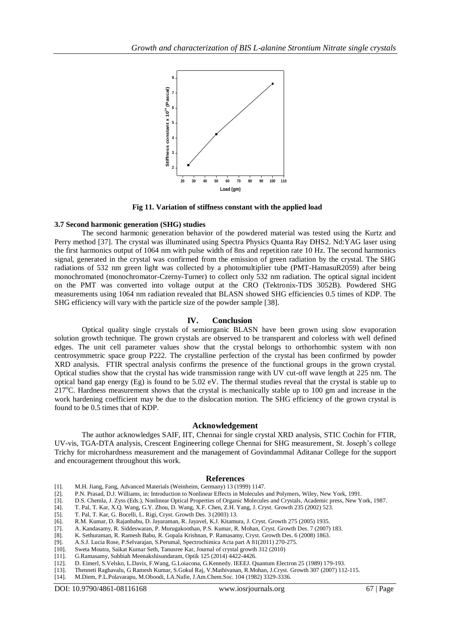

 **Fig 11. Variation of stiffness constant with the applied load**

#### **3.7 Second harmonic generation (SHG) studies**

The second harmonic generation behavior of the powdered material was tested using the Kurtz and Perry method [37]. The crystal was illuminated using Spectra Physics Quanta Ray DHS2. Nd:YAG laser using the first harmonics output of 1064 nm with pulse width of 8ns and repetition rate 10 Hz. The second harmonics signal, generated in the crystal was confirmed from the emission of green radiation by the crystal. The SHG radiations of 532 nm green light was collected by a photomultiplier tube (PMT-HamasuR2059) after being monochromated (monochromator-Czerny-Turner) to collect only 532 nm radiation. The optical signal incident on the PMT was converted into voltage output at the CRO (Tektronix-TDS 3052B). Powdered SHG measurements using 1064 nm radiation revealed that BLASN showed SHG efficiencies 0.5 times of KDP. The SHG efficiency will vary with the particle size of the powder sample [38].

#### **IV. Conclusion**

Optical quality single crystals of semiorganic BLASN have been grown using slow evaporation solution growth technique. The grown crystals are observed to be transparent and colorless with well defined edges. The unit cell parameter values show that the crystal belongs to orthorhombic system with non centrosymmetric space group P222. The crystalline perfection of the crystal has been confirmed by powder XRD analysis. FTIR spectral analysis confirms the presence of the functional groups in the grown crystal. Optical studies show that the crystal has wide transmission range with UV cut-off wave length at 225 nm. The optical band gap energy (Eg) is found to be 5.02 eV. The thermal studies reveal that the crystal is stable up to  $217^{\circ}$ C. Hardness measurement shows that the crystal is mechanically stable up to 100 gm and increase in the work hardening coefficient may be due to the dislocation motion. The SHG efficiency of the grown crystal is found to be 0.5 times that of KDP.

### **Acknowledgement**

The author acknowledges SAIF, IIT, Chennai for single crystal XRD analysis, STIC Cochin for FTIR, UV-vis, TGA-DTA analysis, Crescent Engineering college Chennai for SHG measurement, St. Joseph"s college Trichy for microhardness measurement and the management of Govindammal Aditanar College for the support and encouragement throughout this work.

## **References**

- [1]. M.H. Jiang, Fang, Advanced Materials (Weinheim, Germany) 13 (1999) 1147.
- [2]. P.N. Prasad, D.J. Williams, in: Introduction to Nonlinear Effects in Molecules and Polymers, Wiley, New York, 1991.
- [3]. D.S. Chemla, J. Zyss (Eds.), Nonlinear Optical Properties of Organic Molecules and Crystals, Academic press, New York, 1987.
- [4]. T. Pal, T. Kar, X.Q. Wang, G.Y. Zhou, D. Wang, X.F. Chen, Z.H. Yang, J. Cryst. Growth 235 (2002) 523.
- [5]. T. Pal, T. Kar, G. Bocelli, L. Rigi, Cryst. Growth Des. 3 (2003) 13.
- [6]. R.M. Kumar, D. Rajanbabu, D. Jayaraman, R. Jayavel, K.J. Kitamura, J. Cryst. Growth 275 (2005) 1935.
- [7]. A. Kandasamy, R. Siddeswaran, P. Murugakoothan, P.S. Kumar, R. Mohan, Cryst. Growth Des. 7 (2007) 183.
- [8]. K. Sethuraman, R. Ramesh Babu, R. Gopala Krishnan, P. Ramasamy, Cryst. Growth Des. 6 (2008) 1863.
- [9]. A.S.J. Lucia Rose, P.Selvarajan, S.Perumal, Spectrochimica Acta part A 81(2011) 270-275.
- [10]. Sweta Moutra, Saikat Kumar Seth, Tanusree Kar, Journal of crystal growth 312 (2010)
- [11]. G.Ramasamy, Subbiah Meenakshisundaram, Optik 125 (2014) 4422-4426.
- [12]. D. Eimerl, S.Velsko, L.Davis, F.Wang, G.Loiacona, G.Kennedy. IEEEJ. Quantum Electron 25 (1989) 179-193.
- [13]. Thenneti Raghavalu, G Ramesh Kumar, S.Gokul Raj, V.Mathivanan, R.Mohan, J.Cryst. Growth 307 (2007) 112-115.
- [14]. M.Diem, P.L.Polavarapu, M.Oboodi, LA.Nafie, J.Am.Chem.Soc. 104 (1982) 3329-3336.